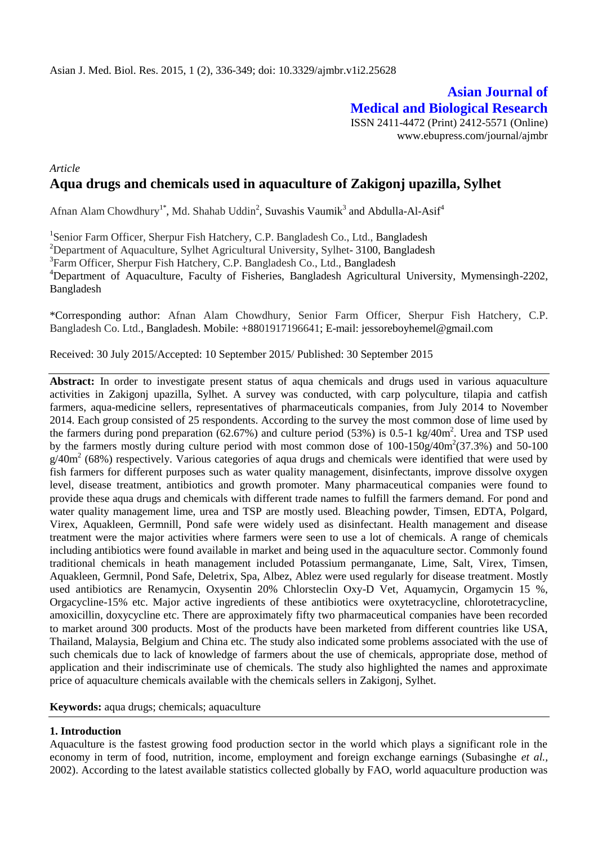**Asian Journal of Medical and Biological Research** ISSN 2411-4472 (Print) 2412-5571 (Online) www.ebupress.com/journal/ajmbr

# *Article* **Aqua drugs and chemicals used in aquaculture of Zakigonj upazilla, Sylhet**

Afnan Alam Chowdhury<sup>1\*</sup>, Md. Shahab Uddin<sup>2</sup>, Suvashis Vaumik<sup>3</sup> and Abdulla-Al-Asif<sup>4</sup>

<sup>1</sup>Senior Farm Officer, Sherpur Fish Hatchery, C.P. Bangladesh Co., Ltd., Bangladesh <sup>2</sup>Department of Aquaculture, Sylhet Agricultural University, Sylhet- 3100, Bangladesh <sup>3</sup>Farm Officer, Sherpur Fish Hatchery, C.P. Bangladesh Co., Ltd., Bangladesh <sup>4</sup>Department of Aquaculture, Faculty of Fisheries, Bangladesh Agricultural University, Mymensingh-2202, Bangladesh

\*Corresponding author: Afnan Alam Chowdhury, Senior Farm Officer, Sherpur Fish Hatchery, C.P. Bangladesh Co. Ltd., Bangladesh. Mobile: +8801917196641; E-mail: jessoreboyhemel@gmail.com

Received: 30 July 2015/Accepted: 10 September 2015/ Published: 30 September 2015

**Abstract:** In order to investigate present status of aqua chemicals and drugs used in various aquaculture activities in Zakigonj upazilla, Sylhet. A survey was conducted, with carp polyculture, tilapia and catfish farmers, aqua-medicine sellers, representatives of pharmaceuticals companies, from July 2014 to November 2014. Each group consisted of 25 respondents. According to the survey the most common dose of lime used by the farmers during pond preparation  $(62.67%)$  and culture period  $(53%)$  is 0.5-1 kg/40m<sup>2</sup>. Urea and TSP used by the farmers mostly during culture period with most common dose of  $100-150g/40m^2(37.3%)$  and  $50-100$  $g/40m^2$  (68%) respectively. Various categories of aqua drugs and chemicals were identified that were used by fish farmers for different purposes such as water quality management, disinfectants, improve dissolve oxygen level, disease treatment, antibiotics and growth promoter. Many pharmaceutical companies were found to provide these aqua drugs and chemicals with different trade names to fulfill the farmers demand. For pond and water quality management lime, urea and TSP are mostly used. Bleaching powder, Timsen, EDTA, Polgard, Virex, Aquakleen, Germnill, Pond safe were widely used as disinfectant. Health management and disease treatment were the major activities where farmers were seen to use a lot of chemicals. A range of chemicals including antibiotics were found available in market and being used in the aquaculture sector. Commonly found traditional chemicals in heath management included Potassium permanganate, Lime, Salt, Virex, Timsen, Aquakleen, Germnil, Pond Safe, Deletrix, Spa, Albez, Ablez were used regularly for disease treatment. Mostly used antibiotics are Renamycin, Oxysentin 20% Chlorsteclin Oxy-D Vet, Aquamycin, Orgamycin 15 %, Orgacycline-15% etc. Major active ingredients of these antibiotics were oxytetracycline, chlorotetracycline, amoxicillin, doxycycline etc. There are approximately fifty two pharmaceutical companies have been recorded to market around 300 products. Most of the products have been marketed from different countries like USA, Thailand, Malaysia, Belgium and China etc. The study also indicated some problems associated with the use of such chemicals due to lack of knowledge of farmers about the use of chemicals, appropriate dose, method of application and their indiscriminate use of chemicals. The study also highlighted the names and approximate price of aquaculture chemicals available with the chemicals sellers in Zakigonj, Sylhet.

**Keywords:** aqua drugs; chemicals; aquaculture

## **1. Introduction**

Aquaculture is the fastest growing food production sector in the world which plays a significant role in the economy in term of food, nutrition, income, employment and foreign exchange earnings (Subasinghe *et al.,* 2002). According to the latest available statistics collected globally by FAO, world aquaculture production was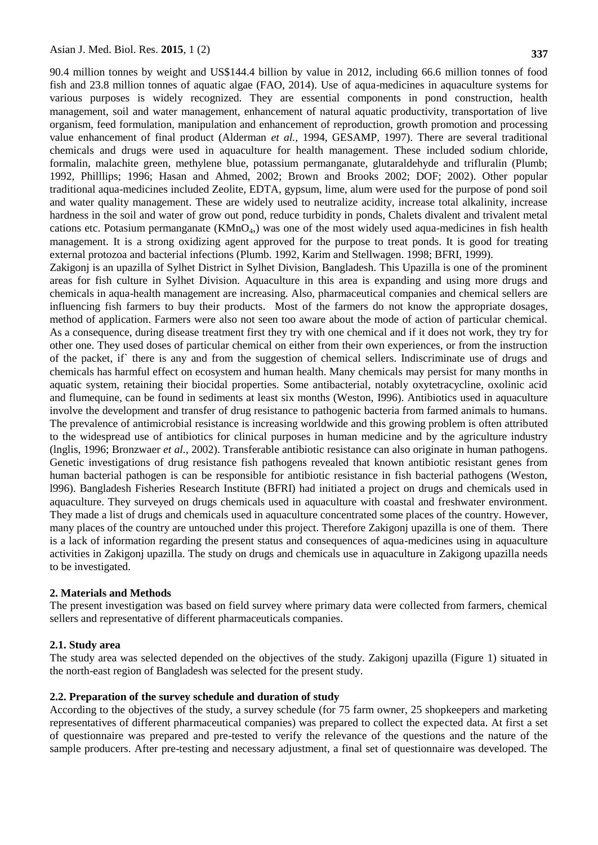90.4 million tonnes by weight and US\$144.4 billion by value in 2012, including 66.6 million tonnes of food fish and 23.8 million tonnes of aquatic algae (FAO, 2014). Use of aqua-medicines in aquaculture systems for various purposes is widely recognized. They are essential components in pond construction, health management, soil and water management, enhancement of natural aquatic productivity, transportation of live organism, feed formulation, manipulation and enhancement of reproduction, growth promotion and processing value enhancement of final product (Alderman *et al.,* 1994, GESAMP, 1997). There are several traditional chemicals and drugs were used in aquaculture for health management. These included sodium chloride, formalin, malachite green, methylene blue, potassium permanganate, glutaraldehyde and trifluralin (Plumb; 1992, Philllips; 1996; Hasan and Ahmed, 2002; Brown and Brooks 2002; DOF; 2002). Other popular traditional aqua-medicines included Zeolite, EDTA, gypsum, lime, alum were used for the purpose of pond soil and water quality management. These are widely used to neutralize acidity, increase total alkalinity, increase hardness in the soil and water of grow out pond, reduce turbidity in ponds, Chalets divalent and trivalent metal cations etc. Potasium permanganate (KMnO4,) was one of the most widely used aqua-medicines in fish health management. It is a strong oxidizing agent approved for the purpose to treat ponds. It is good for treating external protozoa and bacterial infections (Plumb. 1992, Karim and Stellwagen. 1998; BFRI, 1999).

Zakigonj is an upazilla of Sylhet District in Sylhet Division, Bangladesh. This Upazilla is one of the prominent areas for fish culture in Sylhet Division. Aquaculture in this area is expanding and using more drugs and chemicals in aqua-health management are increasing. Also, pharmaceutical companies and chemical sellers are influencing fish farmers to buy their products. Most of the farmers do not know the appropriate dosages, method of application. Farmers were also not seen too aware about the mode of action of particular chemical. As a consequence, during disease treatment first they try with one chemical and if it does not work, they try for other one. They used doses of particular chemical on either from their own experiences, or from the instruction of the packet, if` there is any and from the suggestion of chemical sellers. Indiscriminate use of drugs and chemicals has harmful effect on ecosystem and human health. Many chemicals may persist for many months in aquatic system, retaining their biocidal properties. Some antibacterial, notably oxytetracycline, oxolinic acid and flumequine, can be found in sediments at least six months (Weston, I996). Antibiotics used in aquaculture involve the development and transfer of drug resistance to pathogenic bacteria from farmed animals to humans. The prevalence of antimicrobial resistance is increasing worldwide and this growing problem is often attributed to the widespread use of antibiotics for clinical purposes in human medicine and by the agriculture industry (lnglis, 1996; Bronzwaer *et al.,* 2002). Transferable antibiotic resistance can also originate in human pathogens. Genetic investigations of drug resistance fish pathogens revealed that known antibiotic resistant genes from human bacterial pathogen is can be responsible for antibiotic resistance in fish bacterial pathogens (Weston, l996). Bangladesh Fisheries Research Institute (BFRI) had initiated a project on drugs and chemicals used in aquaculture. They surveyed on drugs chemicals used in aquaculture with coastal and freshwater environment. They made a list of drugs and chemicals used in aquaculture concentrated some places of the country. However, many places of the country are untouched under this project. Therefore Zakigonj upazilla is one of them. There is a lack of information regarding the present status and consequences of aqua-medicines using in aquaculture activities in Zakigonj upazilla. The study on drugs and chemicals use in aquaculture in Zakigong upazilla needs to be investigated.

#### **2. Materials and Methods**

The present investigation was based on field survey where primary data were collected from farmers, chemical sellers and representative of different pharmaceuticals companies.

## **2.1. Study area**

The study area was selected depended on the objectives of the study. Zakigonj upazilla (Figure 1) situated in the north-east region of Bangladesh was selected for the present study.

## **2.2. Preparation of the survey schedule and duration of study**

According to the objectives of the study, a survey schedule (for 75 farm owner, 25 shopkeepers and marketing representatives of different pharmaceutical companies) was prepared to collect the expected data. At first a set of questionnaire was prepared and pre-tested to verify the relevance of the questions and the nature of the sample producers. After pre-testing and necessary adjustment, a final set of questionnaire was developed. The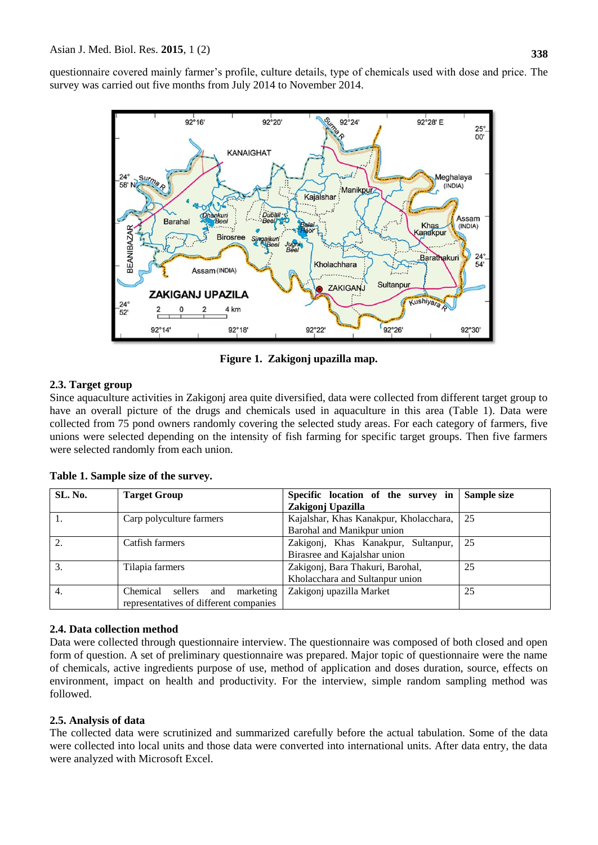questionnaire covered mainly farmer's profile, culture details, type of chemicals used with dose and price. The survey was carried out five months from July 2014 to November 2014.



**Figure 1. Zakigonj upazilla map.**

# **2.3. Target group**

Since aquaculture activities in Zakigonj area quite diversified, data were collected from different target group to have an overall picture of the drugs and chemicals used in aquaculture in this area (Table 1). Data were collected from 75 pond owners randomly covering the selected study areas. For each category of farmers, five unions were selected depending on the intensity of fish farming for specific target groups. Then five farmers were selected randomly from each union.

| SL. No. | <b>Target Group</b>                     | Specific location of the survey in     | Sample size |
|---------|-----------------------------------------|----------------------------------------|-------------|
|         |                                         | Zakigonj Upazilla                      |             |
|         | Carp polyculture farmers                | Kajalshar, Khas Kanakpur, Kholacchara, | 25          |
|         |                                         | Barohal and Manikpur union             |             |
| 2.      | Catfish farmers                         | Zakigoni, Khas Kanakpur, Sultanpur,    | 25          |
|         |                                         | Birasree and Kajalshar union           |             |
| 3.      | Tilapia farmers                         | Zakigonj, Bara Thakuri, Barohal,       | 25          |
|         |                                         | Kholacchara and Sultanpur union        |             |
| 4.      | Chemical<br>marketing<br>sellers<br>and | Zakigonj upazilla Market               | 25          |
|         | representatives of different companies  |                                        |             |

**Table 1. Sample size of the survey.**

## **2.4. Data collection method**

Data were collected through questionnaire interview. The questionnaire was composed of both closed and open form of question. A set of preliminary questionnaire was prepared. Major topic of questionnaire were the name of chemicals, active ingredients purpose of use, method of application and doses duration, source, effects on environment, impact on health and productivity. For the interview, simple random sampling method was followed.

# **2.5. Analysis of data**

The collected data were scrutinized and summarized carefully before the actual tabulation. Some of the data were collected into local units and those data were converted into international units. After data entry, the data were analyzed with Microsoft Excel.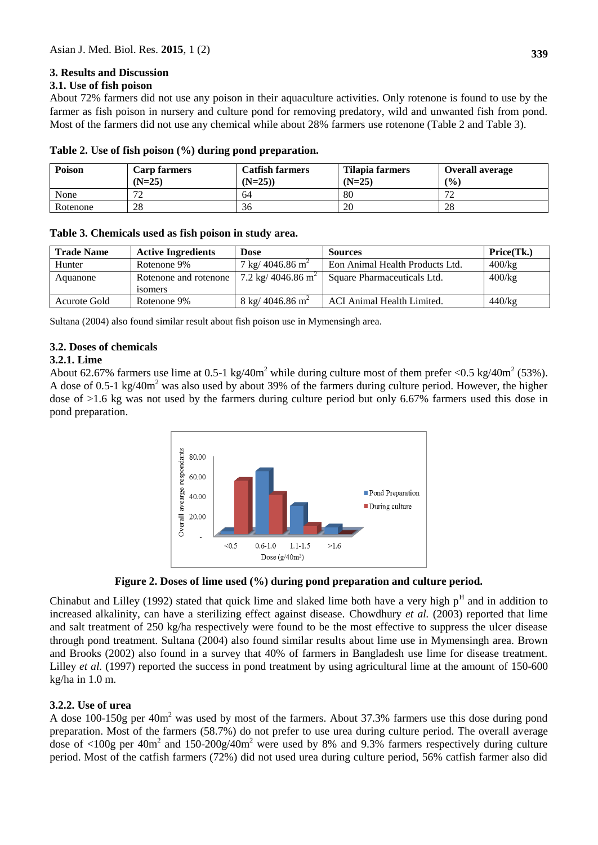## **3. Results and Discussion**

## **3.1. Use of fish poison**

About 72% farmers did not use any poison in their aquaculture activities. Only rotenone is found to use by the farmer as fish poison in nursery and culture pond for removing predatory, wild and unwanted fish from pond. Most of the farmers did not use any chemical while about 28% farmers use rotenone (Table 2 and Table 3).

| Poison   | <b>Carp farmers</b><br>$(N=25)$ | <b>Catfish farmers</b><br>$(N=25)$ | Tilapia farmers<br>$(N=25)$ | <b>Overall average</b><br>(9/0) |
|----------|---------------------------------|------------------------------------|-----------------------------|---------------------------------|
| None     | 70                              | 64                                 | 80                          | $\overline{\phantom{a}}$        |
| Rotenone | 28                              | 36                                 | 20                          | 28                              |

**Table 2. Use of fish poison (%) during pond preparation.**

## **Table 3. Chemicals used as fish poison in study area.**

| <b>Trade Name</b> | <b>Active Ingredients</b> | Dose                                 | <b>Sources</b>                  | Price(Tk.) |
|-------------------|---------------------------|--------------------------------------|---------------------------------|------------|
| Hunter            | Rotenone 9%               | $7 \text{ kg} / 4046.86 \text{ m}^2$ | Eon Animal Health Products Ltd. | $400$ /kg  |
| Aquanone          | Rotenone and rotenone     | 7.2 kg/ 4046.86 m <sup>2</sup>       | Square Pharmaceuticals Ltd.     | 400/kg     |
|                   | 180 mers                  |                                      |                                 |            |
| Acurote Gold      | Rotenone 9%               | $8 \text{ kg} / 4046.86 \text{ m}^2$ | ACI Animal Health Limited.      | $440$ /kg  |

Sultana (2004) also found similar result about fish poison use in Mymensingh area.

## **3.2. Doses of chemicals**

## **3.2.1. Lime**

About 62.67% farmers use lime at 0.5-1 kg/40m<sup>2</sup> while during culture most of them prefer <0.5 kg/40m<sup>2</sup> (53%). A dose of 0.5-1 kg/40m<sup>2</sup> was also used by about 39% of the farmers during culture period. However, the higher dose of >1.6 kg was not used by the farmers during culture period but only 6.67% farmers used this dose in pond preparation.



**Figure 2. Doses of lime used (%) during pond preparation and culture period.**

Chinabut and Lilley (1992) stated that quick lime and slaked lime both have a very high  $p<sup>H</sup>$  and in addition to increased alkalinity, can have a sterilizing effect against disease. Chowdhury *et al.* (2003) reported that lime and salt treatment of 250 kg/ha respectively were found to be the most effective to suppress the ulcer disease through pond treatment. Sultana (2004) also found similar results about lime use in Mymensingh area. Brown and Brooks (2002) also found in a survey that 40% of farmers in Bangladesh use lime for disease treatment. Lilley *et al.* (1997) reported the success in pond treatment by using agricultural lime at the amount of 150-600 kg/ha in 1.0 m.

## **3.2.2. Use of urea**

A dose 100-150g per 40m<sup>2</sup> was used by most of the farmers. About 37.3% farmers use this dose during pond preparation. Most of the farmers (58.7%) do not prefer to use urea during culture period. The overall average dose of  $\langle 100g \text{ per } 40m^2$  and  $150\text{-}200g/40m^2$  were used by 8% and 9.3% farmers respectively during culture period. Most of the catfish farmers (72%) did not used urea during culture period, 56% catfish farmer also did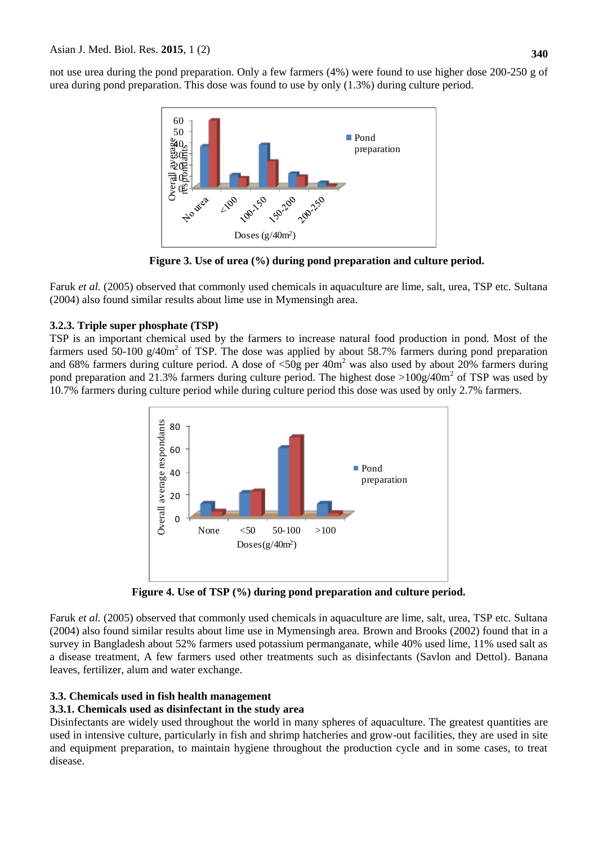not use urea during the pond preparation. Only a few farmers (4%) were found to use higher dose 200-250 g of urea during pond preparation. This dose was found to use by only (1.3%) during culture period.



**Figure 3. Use of urea (%) during pond preparation and culture period.**

Faruk *et al.* (2005) observed that commonly used chemicals in aquaculture are lime, salt, urea, TSP etc. Sultana (2004) also found similar results about lime use in Mymensingh area.

# **3.2.3. Triple super phosphate (TSP)**

TSP is an important chemical used by the farmers to increase natural food production in pond. Most of the farmers used 50-100  $g/40m^2$  of TSP. The dose was applied by about 58.7% farmers during pond preparation and 68% farmers during culture period. A dose of  $\langle 50g \rangle$  per 40m<sup>2</sup> was also used by about 20% farmers during pond preparation and 21.3% farmers during culture period. The highest dose  $>100g/40m^2$  of TSP was used by 10.7% farmers during culture period while during culture period this dose was used by only 2.7% farmers.



**Figure 4. Use of TSP (%) during pond preparation and culture period.**

Faruk *et al.* (2005) observed that commonly used chemicals in aquaculture are lime, salt, urea, TSP etc. Sultana (2004) also found similar results about lime use in Mymensingh area. Brown and Brooks (2002) found that in a survey in Bangladesh about 52% farmers used potassium permanganate, while 40% used lime, 11% used salt as a disease treatment, A few farmers used other treatments such as disinfectants (Savlon and Dettol). Banana leaves, fertilizer, alum and water exchange.

# **3.3. Chemicals used in fish health management**

# **3.3.1. Chemicals used as disinfectant in the study area**

Disinfectants are widely used throughout the world in many spheres of aquaculture. The greatest quantities are used in intensive culture, particularly in fish and shrimp hatcheries and grow-out facilities, they are used in site and equipment preparation, to maintain hygiene throughout the production cycle and in some cases, to treat disease.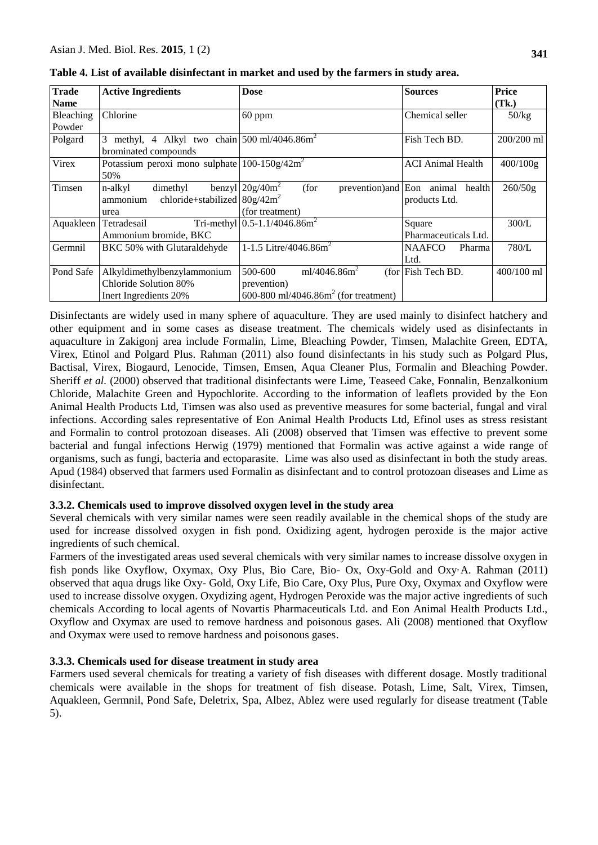| <b>Trade</b> | <b>Active Ingredients</b>                                           | <b>Dose</b>                                      | <b>Sources</b>                    | Price      |
|--------------|---------------------------------------------------------------------|--------------------------------------------------|-----------------------------------|------------|
| <b>Name</b>  |                                                                     |                                                  |                                   | (Tk.)      |
| Bleaching    | Chlorine                                                            | $60$ ppm                                         | Chemical seller                   | 50/kg      |
| Powder       |                                                                     |                                                  |                                   |            |
| Polgard      | methyl, 4 Alkyl two chain $500 \text{ ml}/4046.86 \text{ m}^2$<br>3 |                                                  | Fish Tech BD.                     | 200/200 ml |
|              | brominated compounds                                                |                                                  |                                   |            |
| Virex        | Potassium peroxi mono sulphate $100-150g/42m^2$                     |                                                  | <b>ACI</b> Animal Health          | 400/100g   |
|              | 50%                                                                 |                                                  |                                   |            |
| Timsen       | n-alkyl<br>dimethyl                                                 | benzyl $20g/40m^2$<br>(for                       | prevention) and Eon animal health | 260/50g    |
|              | chloride+stabilized $80g/42m^2$<br>ammonium                         |                                                  | products Ltd.                     |            |
|              | urea                                                                | (for treatment)                                  |                                   |            |
| Aquakleen    | Tetradesail                                                         | Tri-methyl $0.5 - 1.1/4046.86$ m <sup>2</sup>    | Square                            | 300/L      |
|              | Ammonium bromide, BKC                                               |                                                  | Pharmaceuticals Ltd.              |            |
| Germnil      | BKC 50% with Glutaraldehyde                                         | 1-1.5 Litre/4046.86 $m2$                         | <b>NAAFCO</b><br>Pharma           | 780/L      |
|              |                                                                     |                                                  | Ltd.                              |            |
| Pond Safe    | Alkyldimethylbenzylammonium                                         | ml/4046.86 $m2$<br>500-600                       | $(for   Fish Tech BD)$ .          | 400/100 ml |
|              | Chloride Solution 80%                                               | prevention)                                      |                                   |            |
|              | Inert Ingredients 20%                                               | 600-800 ml/4046.86m <sup>2</sup> (for treatment) |                                   |            |

**Table 4. List of available disinfectant in market and used by the farmers in study area.**

Disinfectants are widely used in many sphere of aquaculture. They are used mainly to disinfect hatchery and other equipment and in some cases as disease treatment. The chemicals widely used as disinfectants in aquaculture in Zakigonj area include Formalin, Lime, Bleaching Powder, Timsen, Malachite Green, EDTA, Virex, Etinol and Polgard Plus. Rahman (2011) also found disinfectants in his study such as Polgard Plus, Bactisal, Virex, Biogaurd, Lenocide, Timsen, Emsen, Aqua Cleaner Plus, Formalin and Bleaching Powder. Sheriff *et al.* (2000) observed that traditional disinfectants were Lime, Teaseed Cake, Fonnalin, Benzalkonium Chloride, Malachite Green and Hypochlorite. According to the information of leaflets provided by the Eon Animal Health Products Ltd, Timsen was also used as preventive measures for some bacterial, fungal and viral infections. According sales representative of Eon Animal Health Products Ltd, Efinol uses as stress resistant and Formalin to control protozoan diseases. Ali (2008) observed that Timsen was effective to prevent some bacterial and fungal infections Herwig (1979) mentioned that Formalin was active against a wide range of organisms, such as fungi, bacteria and ectoparasite. Lime was also used as disinfectant in both the study areas. Apud (1984) observed that farmers used Formalin as disinfectant and to control protozoan diseases and Lime as disinfectant.

## **3.3.2. Chemicals used to improve dissolved oxygen level in the study area**

Several chemicals with very similar names were seen readily available in the chemical shops of the study are used for increase dissolved oxygen in fish pond. Oxidizing agent, hydrogen peroxide is the major active ingredients of such chemical.

Farmers of the investigated areas used several chemicals with very similar names to increase dissolve oxygen in fish ponds like Oxyflow, Oxymax, Oxy Plus, Bio Care, Bio- Ox, Oxy-Gold and Oxy·A. Rahman (2011) observed that aqua drugs like Oxy- Gold, Oxy Life, Bio Care, Oxy Plus, Pure Oxy, Oxymax and Oxyflow were used to increase dissolve oxygen. Oxydizing agent, Hydrogen Peroxide was the major active ingredients of such chemicals According to local agents of Novartis Pharmaceuticals Ltd. and Eon Animal Health Products Ltd., Oxyflow and Oxymax are used to remove hardness and poisonous gases. Ali (2008) mentioned that Oxyflow and Oxymax were used to remove hardness and poisonous gases.

## **3.3.3. Chemicals used for disease treatment in study area**

Farmers used several chemicals for treating a variety of fish diseases with different dosage. Mostly traditional chemicals were available in the shops for treatment of fish disease. Potash, Lime, Salt, Virex, Timsen, Aquakleen, Germnil, Pond Safe, Deletrix, Spa, Albez, Ablez were used regularly for disease treatment (Table 5).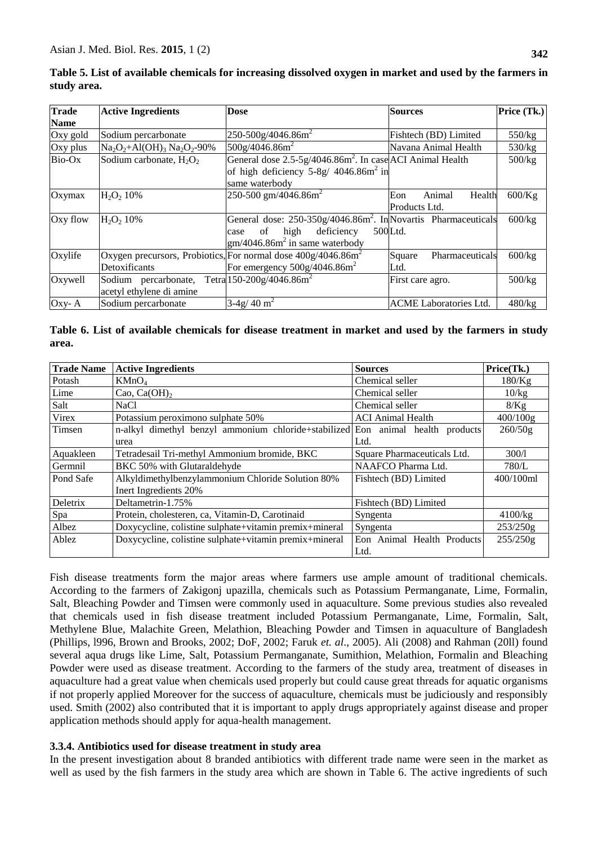| <b>Trade</b> | <b>Active Ingredients</b>  | <b>Dose</b>                                                           | <b>Sources</b>                | Price (Tk.) |
|--------------|----------------------------|-----------------------------------------------------------------------|-------------------------------|-------------|
| <b>Name</b>  |                            |                                                                       |                               |             |
| Oxy gold     | Sodium percarbonate        | $250-500g/4046.86m2$                                                  | Fishtech (BD) Limited         | 550/kg      |
| Oxy plus     | $Na2O2+Al(OH)3 Na2O2-90%$  | 500g/4046.86m <sup>2</sup>                                            | Navana Animal Health          | 530/kg      |
| Bio-Ox       | Sodium carbonate, $H_2O_2$ | General dose 2.5-5g/4046.86m <sup>2</sup> . In case ACI Animal Health |                               | 500/kg      |
|              |                            | of high deficiency $5-8g/4046.86m^2$ in                               |                               |             |
|              |                            | same waterbody                                                        |                               |             |
| Oxymax       | $H_2O_2 10%$               | 250-500 gm/4046.86m <sup>2</sup>                                      | Animal<br>Eon<br>Health       | $600$ /Kg   |
|              |                            |                                                                       | Products Ltd.                 |             |
| Oxy flow     | $H_2O_2$ 10%               | General dose: $250-350g/4046.86m^2$ . In Novartis Pharmaceuticals     |                               | 600/kg      |
|              |                            | deficiency<br>high<br>of<br>case                                      | 500Ltd.                       |             |
|              |                            | $\text{gm}/4046.86\text{m}^2$ in same waterbody                       |                               |             |
| Oxylife      |                            | Oxygen precursors, Probiotics, For normal dose $400g/4046.86m^2$      | Square<br>Pharmaceuticals     | 600/kg      |
|              | Detoxificants              | For emergency $500g/4046.86m^2$                                       | Ltd.                          |             |
| Oxywell      | Sodium percarbonate,       | Tetra 150-200g/4046.86m <sup>2</sup>                                  | First care agro.              | 500/kg      |
|              | acetyl ethylene di amine   |                                                                       |                               |             |
| Oxy-A        | Sodium percarbonate        | $3-4g/40$ m <sup>2</sup>                                              | <b>ACME</b> Laboratories Ltd. | 480/kg      |

**Table 5. List of available chemicals for increasing dissolved oxygen in market and used by the farmers in study area.**

|       | Table 6. List of available chemicals for disease treatment in market and used by the farmers in study |  |  |  |  |  |  |
|-------|-------------------------------------------------------------------------------------------------------|--|--|--|--|--|--|
| area. |                                                                                                       |  |  |  |  |  |  |

| <b>Trade Name</b> | <b>Active Ingredients</b>                                                       | <b>Sources</b>              | Price(Tk.) |
|-------------------|---------------------------------------------------------------------------------|-----------------------------|------------|
| Potash            | KMnO <sub>4</sub>                                                               | Chemical seller             | 180/Kg     |
| Lime              | Cao, $Ca(OH)_2$                                                                 | Chemical seller             | 10/kg      |
| Salt              | NaCl                                                                            | Chemical seller             | 8/Kg       |
| Virex             | Potassium peroximono sulphate 50%                                               | <b>ACI</b> Animal Health    | 400/100g   |
| Timsen            | n-alkyl dimethyl benzyl ammonium chloride+stabilized Eon animal health products |                             | 260/50g    |
|                   | urea                                                                            | Ltd.                        |            |
| Aquakleen         | Tetradesail Tri-methyl Ammonium bromide, BKC                                    | Square Pharmaceuticals Ltd. | 300/1      |
| Germnil           | BKC 50% with Glutaraldehyde                                                     | NAAFCO Pharma Ltd.          | 780/L      |
| Pond Safe         | Alkyldimethylbenzylammonium Chloride Solution 80%                               | Fishtech (BD) Limited       | 400/100ml  |
|                   | Inert Ingredients 20%                                                           |                             |            |
| Deletrix          | Deltametrin-1.75%                                                               | Fishtech (BD) Limited       |            |
| Spa               | Protein, cholesteren, ca, Vitamin-D, Carotinaid                                 | Syngenta                    | 4100/kg    |
| Albez             | Doxycycline, colistine sulphate+vitamin premix+mineral                          | Syngenta                    | 253/250g   |
| Ablez             | Doxycycline, colistine sulphate+vitamin premix+mineral                          | Eon Animal Health Products  | 255/250g   |
|                   |                                                                                 | Ltd.                        |            |

Fish disease treatments form the major areas where farmers use ample amount of traditional chemicals. According to the farmers of Zakigonj upazilla, chemicals such as Potassium Permanganate, Lime, Formalin, Salt, Bleaching Powder and Timsen were commonly used in aquaculture. Some previous studies also revealed that chemicals used in fish disease treatment included Potassium Permanganate, Lime, Formalin, Salt, Methylene Blue, Malachite Green, Melathion, Bleaching Powder and Timsen in aquaculture of Bangladesh (Phillips, l996, Brown and Brooks, 2002; DoF, 2002; Faruk *et. al*., 2005). Ali (2008) and Rahman (20ll) found several aqua drugs like Lime, Salt, Potassium Permanganate, Sumithion, Melathion, Formalin and Bleaching Powder were used as disease treatment. According to the farmers of the study area, treatment of diseases in aquaculture had a great value when chemicals used properly but could cause great threads for aquatic organisms if not properly applied Moreover for the success of aquaculture, chemicals must be judiciously and responsibly used. Smith (2002) also contributed that it is important to apply drugs appropriately against disease and proper application methods should apply for aqua-health management.

# **3.3.4. Antibiotics used for disease treatment in study area**

In the present investigation about 8 branded antibiotics with different trade name were seen in the market as well as used by the fish farmers in the study area which are shown in Table 6. The active ingredients of such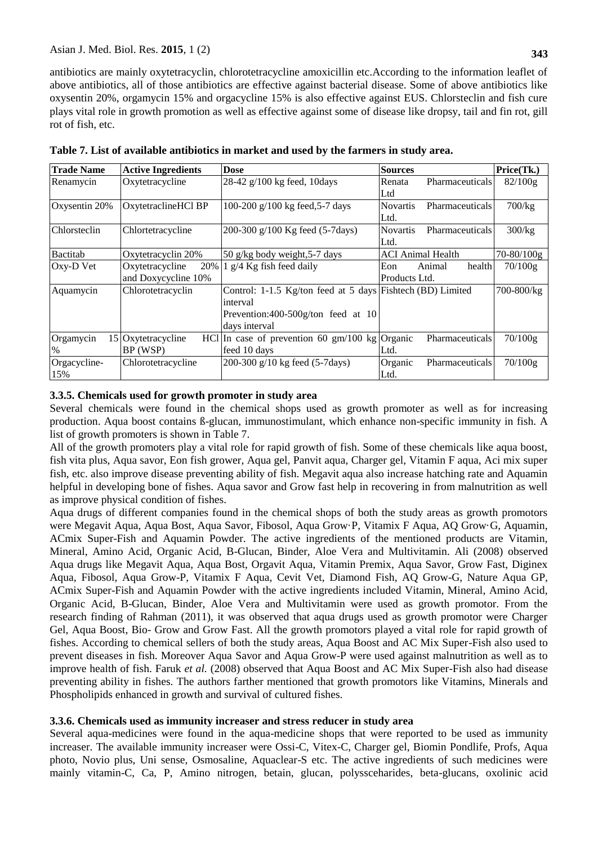antibiotics are mainly oxytetracyclin, chlorotetracycline amoxicillin etc.According to the information leaflet of above antibiotics, all of those antibiotics are effective against bacterial disease. Some of above antibiotics like oxysentin 20%, orgamycin 15% and orgacycline 15% is also effective against EUS. Chlorsteclin and fish cure plays vital role in growth promotion as well as effective against some of disease like dropsy, tail and fin rot, gill rot of fish, etc.

| <b>Trade Name</b> | <b>Active Ingredients</b> | <b>Dose</b>                                                     | <b>Sources</b>                     | Price(Tk.)     |
|-------------------|---------------------------|-----------------------------------------------------------------|------------------------------------|----------------|
| Renamycin         | Oxytetracycline           | 28-42 $g/100$ kg feed, 10days                                   | <b>Pharmaceuticals</b><br>Renata   | $82/100$ g     |
|                   |                           |                                                                 | Ltd                                |                |
| Oxysentin 20%     | OxytetraclineHCl BP       | 100-200 g/100 kg feed, 5-7 days                                 | <b>Novartis</b><br>Pharmaceuticals | $700$ /kg      |
|                   |                           |                                                                 | Ltd.                               |                |
| Chlorsteclin      | Chlortetracycline         | 200-300 g/100 Kg feed (5-7days)                                 | Novartis<br><b>Pharmaceuticals</b> | 300/kg         |
|                   |                           |                                                                 | Ltd.                               |                |
| Bactitab          | Oxytetracyclin 20%        | 50 g/kg body weight, 5-7 days                                   | <b>ACI</b> Animal Health           | $70 - 80/100g$ |
| Oxy-D Vet         | Oxytetracycline<br>20%    | $1$ g/4 Kg fish feed daily                                      | Eon<br>health<br>Animal            | 70/100g        |
|                   | and Doxycycline 10%       |                                                                 | Products Ltd.                      |                |
| Aquamycin         | Chlorotetracyclin         | Control: 1-1.5 Kg/ton feed at 5 days Fishtech (BD) Limited      |                                    | 700-800/kg     |
|                   |                           | interval                                                        |                                    |                |
|                   |                           | Prevention:400-500g/ton feed at 10                              |                                    |                |
|                   |                           | days interval                                                   |                                    |                |
| Orgamycin         | 15 Oxytetracycline        | HCl In case of prevention 60 $\text{gm}/100 \text{ kg}$ Organic | Pharmaceuticals                    | 70/100g        |
| $\%$              | BP (WSP)                  | feed 10 days                                                    | Ltd.                               |                |
| Orgacycline-      | Chlorotetracycline        | 200-300 g/10 kg feed (5-7days)                                  | Organic<br>Pharmaceuticals         | 70/100g        |
| 15%               |                           |                                                                 | Ltd.                               |                |

**Table 7. List of available antibiotics in market and used by the farmers in study area.**

## **3.3.5. Chemicals used for growth promoter in study area**

Several chemicals were found in the chemical shops used as growth promoter as well as for increasing production. Aqua boost contains ß-glucan, immunostimulant, which enhance non-specific immunity in fish. A list of growth promoters is shown in Table 7.

All of the growth promoters play a vital role for rapid growth of fish. Some of these chemicals like aqua boost, fish vita plus, Aqua savor, Eon fish grower, Aqua gel, Panvit aqua, Charger gel, Vitamin F aqua, Aci mix super fish, etc. also improve disease preventing ability of fish. Megavit aqua also increase hatching rate and Aquamin helpful in developing bone of fishes. Aqua savor and Grow fast help in recovering in from malnutrition as well as improve physical condition of fishes.

Aqua drugs of different companies found in the chemical shops of both the study areas as growth promotors were Megavit Aqua, Aqua Bost, Aqua Savor, Fibosol, Aqua Grow·P, Vitamix F Aqua, AQ Grow·G, Aquamin, ACmix Super-Fish and Aquamin Powder. The active ingredients of the mentioned products are Vitamin, Mineral, Amino Acid, Organic Acid, B-Glucan, Binder, Aloe Vera and Multivitamin. Ali (2008) observed Aqua drugs like Megavit Aqua, Aqua Bost, Orgavit Aqua, Vitamin Premix, Aqua Savor, Grow Fast, Diginex Aqua, Fibosol, Aqua Grow-P, Vitamix F Aqua, Cevit Vet, Diamond Fish, AQ Grow-G, Nature Aqua GP, ACmix Super-Fish and Aquamin Powder with the active ingredients included Vitamin, Mineral, Amino Acid, Organic Acid, B-Glucan, Binder, Aloe Vera and Multivitamin were used as growth promotor. From the research finding of Rahman (2011), it was observed that aqua drugs used as growth promotor were Charger Gel, Aqua Boost, Bio- Grow and Grow Fast. All the growth promotors played a vital role for rapid growth of fishes. According to chemical sellers of both the study areas, Aqua Boost and AC Mix Super-Fish also used to prevent diseases in fish. Moreover Aqua Savor and Aqua Grow-P were used against malnutrition as well as to improve health of fish. Faruk *et al.* (2008) observed that Aqua Boost and AC Mix Super-Fish also had disease preventing ability in fishes. The authors farther mentioned that growth promotors like Vitamins, Minerals and Phospholipids enhanced in growth and survival of cultured fishes.

## **3.3.6. Chemicals used as immunity increaser and stress reducer in study area**

Several aqua-medicines were found in the aqua-medicine shops that were reported to be used as immunity increaser. The available immunity increaser were Ossi-C, Vitex-C, Charger gel, Biomin Pondlife, Profs, Aqua photo, Novio plus, Uni sense, Osmosaline, Aquaclear-S etc. The active ingredients of such medicines were mainly vitamin-C, Ca, P, Amino nitrogen, betain, glucan, polyssceharides, beta-glucans, oxolinic acid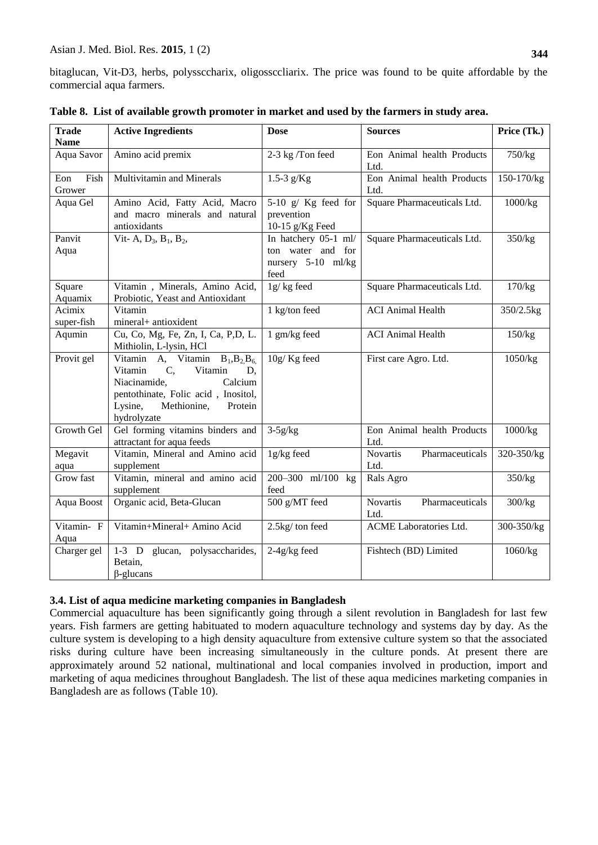| <b>Trade</b><br><b>Name</b> | <b>Active Ingredients</b>                                                                                                                                                                       | <b>Dose</b>                                                             | <b>Sources</b>                             | Price (Tk.) |
|-----------------------------|-------------------------------------------------------------------------------------------------------------------------------------------------------------------------------------------------|-------------------------------------------------------------------------|--------------------------------------------|-------------|
| Aqua Savor                  | Amino acid premix                                                                                                                                                                               | 2-3 kg /Ton feed                                                        | Eon Animal health Products<br>Ltd.         | 750/kg      |
| Fish<br>Eon<br>Grower       | Multivitamin and Minerals                                                                                                                                                                       | 1.5-3 $g/Kg$                                                            | Eon Animal health Products<br>Ltd.         | 150-170/kg  |
| Aqua Gel                    | Amino Acid, Fatty Acid, Macro<br>and macro minerals and natural<br>antioxidants                                                                                                                 | 5-10 $g/$ Kg feed for<br>prevention<br>10-15 $g/Kg$ Feed                | Square Pharmaceuticals Ltd.                | 1000/kg     |
| Panvit<br>Aqua              | Vit- A, $D_3$ , $B_1$ , $B_2$ ,                                                                                                                                                                 | In hatchery 05-1 ml/<br>ton water and for<br>nursery 5-10 ml/kg<br>feed | Square Pharmaceuticals Ltd.                | 350/kg      |
| Square<br>Aquamix           | Vitamin, Minerals, Amino Acid,<br>Probiotic, Yeast and Antioxidant                                                                                                                              | 1g/kg feed                                                              | Square Pharmaceuticals Ltd.                | 170/kg      |
| Acimix<br>super-fish        | Vitamin<br>mineral+ antioxident                                                                                                                                                                 | 1 kg/ton feed                                                           | <b>ACI</b> Animal Health                   | 350/2.5kg   |
| Aqumin                      | Cu, Co, Mg, Fe, Zn, I, Ca, P,D, L.<br>Mithiolin, L-lysin, HCl                                                                                                                                   | 1 gm/kg feed                                                            | <b>ACI</b> Animal Health                   | 150/kg      |
| Provit gel                  | Vitamin A, Vitamin $B_1, B_2, B_6$<br>Vitamin<br>Vitamin<br>D.<br>$C_{1}$<br>Niacinamide,<br>Calcium<br>pentothinate, Folic acid, Inositol,<br>Lysine,<br>Methionine,<br>Protein<br>hydrolyzate | 10g/Kg feed                                                             | First care Agro. Ltd.                      | 1050/kg     |
| Growth Gel                  | Gel forming vitamins binders and<br>attractant for aqua feeds                                                                                                                                   | $3-5g/kg$                                                               | Eon Animal health Products<br>Ltd.         | 1000/kg     |
| Megavit<br>aqua             | Vitamin, Mineral and Amino acid<br>supplement                                                                                                                                                   | 1g/kg feed                                                              | <b>Novartis</b><br>Pharmaceuticals<br>Ltd. | 320-350/kg  |
| Grow fast                   | Vitamin, mineral and amino acid<br>supplement                                                                                                                                                   | 200-300 ml/100 kg<br>feed                                               | Rals Agro                                  | 350/kg      |
| Aqua Boost                  | Organic acid, Beta-Glucan                                                                                                                                                                       | 500 g/MT feed                                                           | <b>Novartis</b><br>Pharmaceuticals<br>Ltd. | 300/kg      |
| Vitamin- F<br>Aqua          | Vitamin+Mineral+ Amino Acid                                                                                                                                                                     | 2.5kg/ton feed                                                          | ACME Laboratories Ltd.                     | 300-350/kg  |
| Charger gel                 | 1-3 D glucan, polysaccharides,<br>Betain,<br>$\beta$ -glucans                                                                                                                                   | $2-4g/kg$ feed                                                          | Fishtech (BD) Limited                      | 1060/kg     |

| Table 8. List of available growth promoter in market and used by the farmers in study area. |  |  |
|---------------------------------------------------------------------------------------------|--|--|
|                                                                                             |  |  |

# **3.4. List of aqua medicine marketing companies in Bangladesh**

Commercial aquaculture has been significantly going through a silent revolution in Bangladesh for last few years. Fish farmers are getting habituated to modern aquaculture technology and systems day by day. As the culture system is developing to a high density aquaculture from extensive culture system so that the associated risks during culture have been increasing simultaneously in the culture ponds. At present there are approximately around 52 national, multinational and local companies involved in production, import and marketing of aqua medicines throughout Bangladesh. The list of these aqua medicines marketing companies in Bangladesh are as follows (Table 10).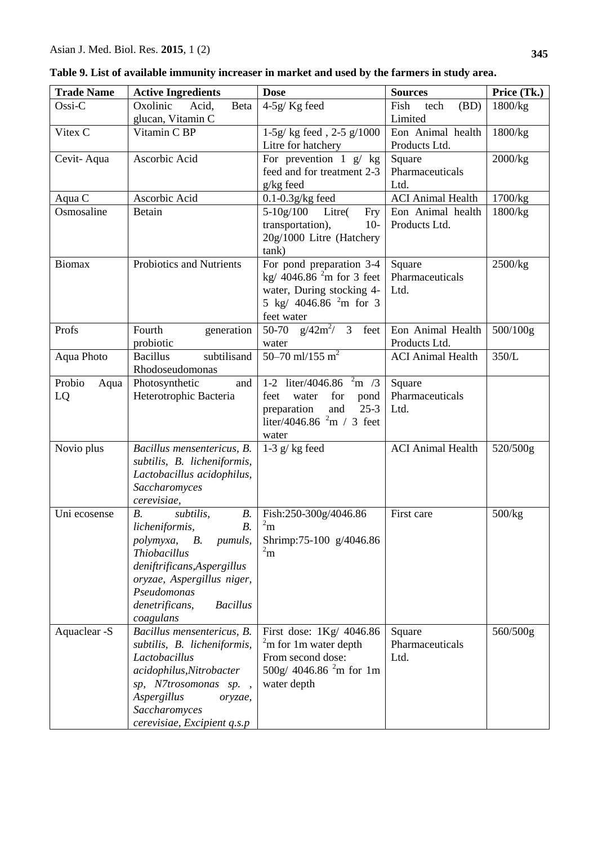| <b>Trade Name</b> | <b>Active Ingredients</b>                         | <b>Dose</b>                             | <b>Sources</b>            | Price (Tk.) |
|-------------------|---------------------------------------------------|-----------------------------------------|---------------------------|-------------|
| Ossi-C            | Oxolinic<br>Acid,<br>Beta                         | $4-5g/Kg$ feed                          | Fish<br>(BD)<br>tech      | 1800/kg     |
|                   | glucan, Vitamin C                                 |                                         | Limited                   |             |
| Vitex C           | Vitamin C BP                                      | 1-5g/ kg feed, 2-5 g/1000               | Eon Animal health         | 1800/kg     |
|                   |                                                   | Litre for hatchery                      | Products Ltd.             |             |
| Cevit-Aqua        | Ascorbic Acid                                     | For prevention $1 \text{ g}/\text{ kg}$ | Square                    | 2000/kg     |
|                   |                                                   | feed and for treatment 2-3              | Pharmaceuticals           |             |
|                   |                                                   | g/kg feed                               | Ltd.                      |             |
| Aqua C            | Ascorbic Acid                                     | $0.1 - 0.3$ g/kg feed                   | <b>ACI Animal Health</b>  | 1700/kg     |
| Osmosaline        | <b>Betain</b>                                     | $5 - 10g/100$<br>Litre(<br>Fry          | Eon Animal health         | 1800/kg     |
|                   |                                                   | transportation),<br>$10-$               | Products Ltd.             |             |
|                   |                                                   | 20g/1000 Litre (Hatchery                |                           |             |
|                   |                                                   | tank)                                   |                           |             |
| <b>Biomax</b>     | Probiotics and Nutrients                          | For pond preparation 3-4                | Square                    | 2500/kg     |
|                   |                                                   | kg/ 4046.86 $^{2}$ m for 3 feet         | Pharmaceuticals           |             |
|                   |                                                   | water, During stocking 4-               | Ltd.                      |             |
|                   |                                                   | 5 kg/ 4046.86 $^{2}$ m for 3            |                           |             |
|                   |                                                   | feet water                              |                           |             |
| Profs             | Fourth<br>generation                              | 50-70 $g/42m^2/3$<br>feet               | Eon Animal Health         | 500/100g    |
|                   | probiotic                                         | water<br>50–70 ml/155 $\overline{m^2}$  | Products Ltd.             |             |
| Aqua Photo        | subtilisand<br><b>Bacillus</b><br>Rhodoseudomonas |                                         | <b>ACI Animal Health</b>  | 350/L       |
| Probio            |                                                   | 1-2 liter/4046.86<br>m/3                |                           |             |
| Aqua<br>LQ        | Photosynthetic<br>and<br>Heterotrophic Bacteria   | for<br>feet<br>water                    | Square<br>Pharmaceuticals |             |
|                   |                                                   | pond<br>preparation<br>and<br>$25 - 3$  | Ltd.                      |             |
|                   |                                                   | liter/4046.86 $^2$ m / 3 feet           |                           |             |
|                   |                                                   | water                                   |                           |             |
| Novio plus        | Bacillus mensentericus, B.                        | 1-3 $g/kg$ feed                         | <b>ACI</b> Animal Health  | 520/500g    |
|                   | subtilis, B. licheniformis,                       |                                         |                           |             |
|                   | Lactobacillus acidophilus,                        |                                         |                           |             |
|                   | Saccharomyces                                     |                                         |                           |             |
|                   | cerevisiae,                                       |                                         |                           |             |
| Uni ecosense      | subtilis,<br>B.<br>$B_{\cdot}$                    | Fish:250-300g/4046.86                   | First care                | 500/kg      |
|                   | B.<br>licheniformis,                              | $^{2}$ m                                |                           |             |
|                   | В.<br><i>pumuls,</i><br>polymyxa,                 | Shrimp:75-100 g/4046.86                 |                           |             |
|                   | <b>Thiobacillus</b>                               | $^{2}$ m                                |                           |             |
|                   | deniftrificans, Aspergillus                       |                                         |                           |             |
|                   | oryzae, Aspergillus niger,                        |                                         |                           |             |
|                   | Pseudomonas                                       |                                         |                           |             |
|                   | denetrificans,<br><b>Bacillus</b>                 |                                         |                           |             |
|                   | coagulans                                         |                                         |                           |             |
| Aquaclear -S      | Bacillus mensentericus, B.                        | First dose: 1Kg/ 4046.86                | Square                    | 560/500g    |
|                   | subtilis, B. licheniformis,                       | $22$ m for 1 m water depth              | Pharmaceuticals           |             |
|                   | Lactobacillus                                     | From second dose:                       | Ltd.                      |             |
|                   | acidophilus, Nitrobacter                          | 500g/ 4046.86 $^{2}$ m for 1m           |                           |             |
|                   | sp, N7trosomonas sp.,                             | water depth                             |                           |             |
|                   | Aspergillus<br>oryzae,                            |                                         |                           |             |
|                   | Saccharomyces                                     |                                         |                           |             |
|                   | cerevisiae, Excipient q.s.p                       |                                         |                           |             |

|  | Table 9. List of available immunity increaser in market and used by the farmers in study area. |  |
|--|------------------------------------------------------------------------------------------------|--|
|  |                                                                                                |  |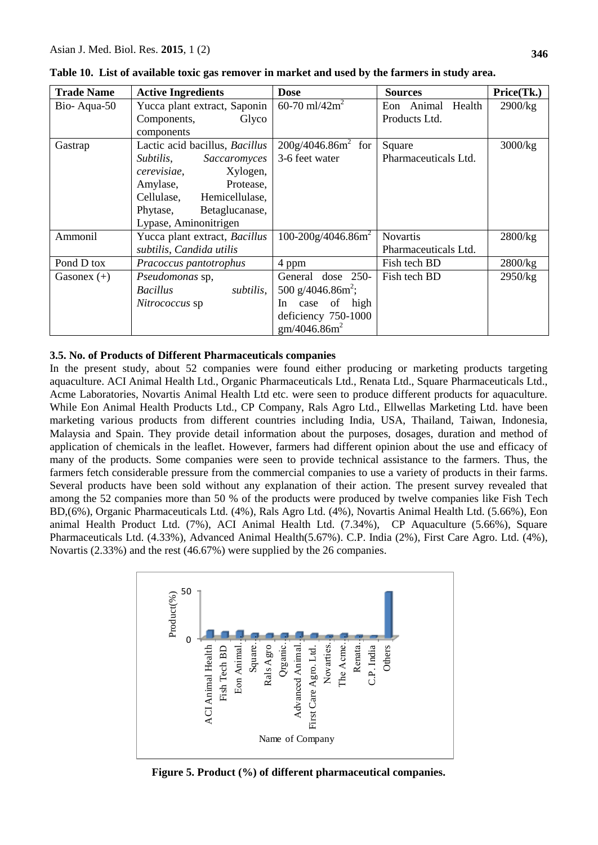| <b>Trade Name</b> | <b>Active Ingredients</b>      | <b>Dose</b>                   | <b>Sources</b>       | Price(Tk.) |
|-------------------|--------------------------------|-------------------------------|----------------------|------------|
| Bio-Aqua-50       | Yucca plant extract, Saponin   | 60-70 ml/42 $m^2$             | Eon Animal<br>Health | 2900/kg    |
|                   | Glyco<br>Components,           |                               | Products Ltd.        |            |
|                   | components                     |                               |                      |            |
| Gastrap           | Lactic acid bacillus, Bacillus | $200g/4046.86m^2$ for         | Square               | 3000/kg    |
|                   | Subtilis,<br>Saccaromyces      | 3-6 feet water                | Pharmaceuticals Ltd. |            |
|                   | Xylogen,<br>cerevisiae,        |                               |                      |            |
|                   | Protease,<br>Amylase,          |                               |                      |            |
|                   | Cellulase, Hemicellulase,      |                               |                      |            |
|                   | Phytase,<br>Betaglucanase,     |                               |                      |            |
|                   | Lypase, Aminonitrigen          |                               |                      |            |
| Ammonil           | Yucca plant extract, Bacillus  | $100-200g/4046.86m^2$         | <b>Novartis</b>      | 2800/kg    |
|                   | subtilis, Candida utilis       |                               | Pharmaceuticals Ltd. |            |
| Pond D tox        | Pracoccus pantotrophus         | 4 ppm                         | Fish tech BD         | 2800/kg    |
| Gasonex $(+)$     | Pseudomonas sp,                | General dose 250-             | Fish tech BD         | 2950/kg    |
|                   | <b>Bacillus</b><br>subtilis,   | 500 g/4046.86m <sup>2</sup> ; |                      |            |
|                   | Nitrococcus sp                 | of high<br>In<br>case         |                      |            |
|                   |                                | deficiency 750-1000           |                      |            |
|                   |                                | gm/4046.86m <sup>2</sup>      |                      |            |

**Table 10. List of available toxic gas remover in market and used by the farmers in study area.**

## **3.5. No. of Products of Different Pharmaceuticals companies**

In the present study, about 52 companies were found either producing or marketing products targeting aquaculture. ACI Animal Health Ltd., Organic Pharmaceuticals Ltd., Renata Ltd., Square Pharmaceuticals Ltd., Acme Laboratories, Novartis Animal Health Ltd etc. were seen to produce different products for aquaculture. While Eon Animal Health Products Ltd., CP Company, Rals Agro Ltd., Ellwellas Marketing Ltd. have been marketing various products from different countries including India, USA, Thailand, Taiwan, Indonesia, Malaysia and Spain. They provide detail information about the purposes, dosages, duration and method of application of chemicals in the leaflet. However, farmers had different opinion about the use and efficacy of many of the products. Some companies were seen to provide technical assistance to the farmers. Thus, the farmers fetch considerable pressure from the commercial companies to use a variety of products in their farms. Several products have been sold without any explanation of their action. The present survey revealed that among the 52 companies more than 50 % of the products were produced by twelve companies like Fish Tech BD,(6%), Organic Pharmaceuticals Ltd. (4%), Rals Agro Ltd. (4%), Novartis Animal Health Ltd. (5.66%), Eon animal Health Product Ltd. (7%), ACI Animal Health Ltd. (7.34%), CP Aquaculture (5.66%), Square Pharmaceuticals Ltd. (4.33%), Advanced Animal Health(5.67%). C.P. India (2%), First Care Agro. Ltd. (4%), Novartis (2.33%) and the rest (46.67%) were supplied by the 26 companies.



**Figure 5. Product (%) of different pharmaceutical companies.**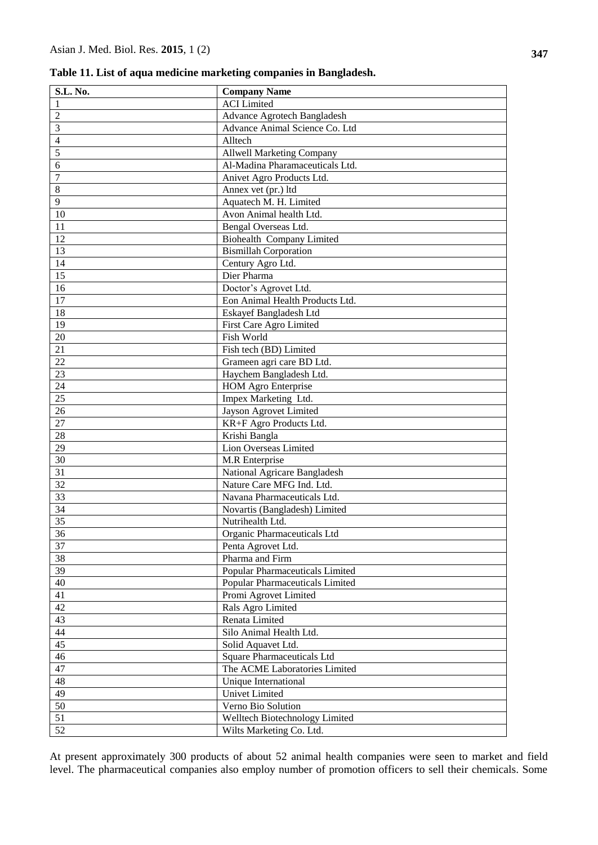**Table 11. List of aqua medicine marketing companies in Bangladesh.**

| <b>S.L. No.</b> | <b>Company Name</b>               |
|-----------------|-----------------------------------|
| $\mathbf{1}$    | <b>ACI</b> Limited                |
| $\overline{2}$  | Advance Agrotech Bangladesh       |
| $\overline{3}$  | Advance Animal Science Co. Ltd    |
| $\overline{4}$  | Alltech                           |
| $\overline{5}$  | <b>Allwell Marketing Company</b>  |
| $\sqrt{6}$      | Al-Madina Pharamaceuticals Ltd.   |
| $\overline{7}$  | Anivet Agro Products Ltd.         |
| $\,8\,$         | Annex vet (pr.) ltd               |
| 9               | Aquatech M. H. Limited            |
| 10              | Avon Animal health Ltd.           |
| 11              | Bengal Overseas Ltd.              |
| 12              | <b>Biohealth Company Limited</b>  |
| 13              | <b>Bismillah Corporation</b>      |
| 14              | Century Agro Ltd.                 |
| 15              | Dier Pharma                       |
| 16              | Doctor's Agrovet Ltd.             |
| 17              | Eon Animal Health Products Ltd.   |
| 18              | Eskayef Bangladesh Ltd            |
| 19              | First Care Agro Limited           |
| 20              | Fish World                        |
| 21              | Fish tech (BD) Limited            |
| 22              | Grameen agri care BD Ltd.         |
| 23              | Haychem Bangladesh Ltd.           |
| 24              | <b>HOM Agro Enterprise</b>        |
| 25              | Impex Marketing Ltd.              |
| 26              | Jayson Agrovet Limited            |
| $27\,$          | KR+F Agro Products Ltd.           |
| 28              | Krishi Bangla                     |
| 29              | Lion Overseas Limited             |
| 30              | M.R Enterprise                    |
| 31              | National Agricare Bangladesh      |
| 32              | Nature Care MFG Ind. Ltd.         |
| 33              | Navana Pharmaceuticals Ltd.       |
| 34              | Novartis (Bangladesh) Limited     |
| 35              | Nutrihealth Ltd.                  |
| 36              | Organic Pharmaceuticals Ltd       |
| 37              | Penta Agrovet Ltd.                |
| 38              | Pharma and Firm                   |
| 39              | Popular Pharmaceuticals Limited   |
| 40              | Popular Pharmaceuticals Limited   |
| 41              | Promi Agrovet Limited             |
| 42              | Rals Agro Limited                 |
| 43              | Renata Limited                    |
| 44              | Silo Animal Health Ltd.           |
| 45              | Solid Aquavet Ltd.                |
| 46              | <b>Square Pharmaceuticals Ltd</b> |
| 47              | The ACME Laboratories Limited     |
| 48              | Unique International              |
| 49              | Univet Limited                    |
| $50\,$          | Verno Bio Solution                |
| 51              | Welltech Biotechnology Limited    |
| 52              | Wilts Marketing Co. Ltd.          |

At present approximately 300 products of about 52 animal health companies were seen to market and field level. The pharmaceutical companies also employ number of promotion officers to sell their chemicals. Some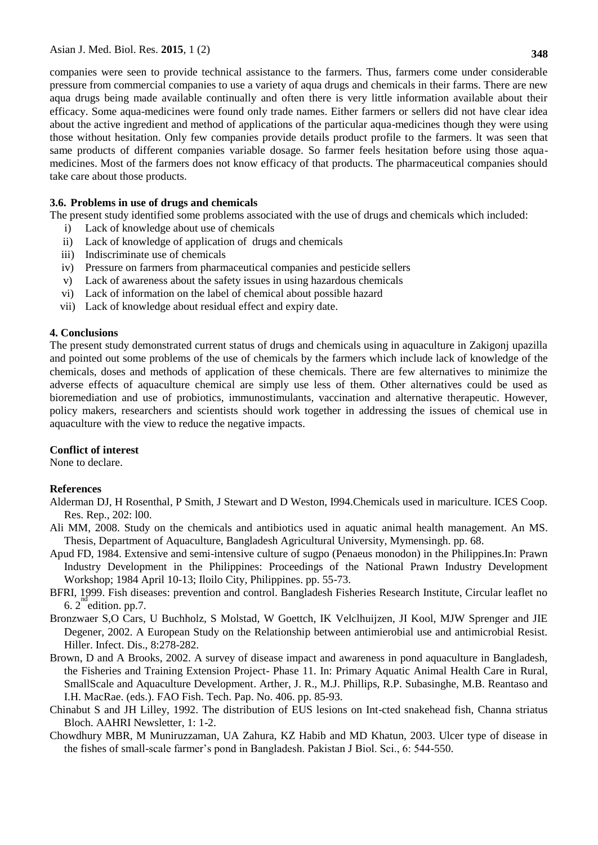companies were seen to provide technical assistance to the farmers. Thus, farmers come under considerable pressure from commercial companies to use a variety of aqua drugs and chemicals in their farms. There are new aqua drugs being made available continually and often there is very little information available about their efficacy. Some aqua-medicines were found only trade names. Either farmers or sellers did not have clear idea about the active ingredient and method of applications of the particular aqua-medicines though they were using those without hesitation. Only few companies provide details product profile to the farmers. lt was seen that same products of different companies variable dosage. So farmer feels hesitation before using those aquamedicines. Most of the farmers does not know efficacy of that products. The pharmaceutical companies should take care about those products.

## **3.6. Problems in use of drugs and chemicals**

The present study identified some problems associated with the use of drugs and chemicals which included:

- i) Lack of knowledge about use of chemicals
- ii) Lack of knowledge of application of drugs and chemicals
- iii) Indiscriminate use of chemicals
- iv) Pressure on farmers from pharmaceutical companies and pesticide sellers
- v) Lack of awareness about the safety issues in using hazardous chemicals
- vi) Lack of information on the label of chemical about possible hazard
- vii) Lack of knowledge about residual effect and expiry date.

## **4. Conclusions**

The present study demonstrated current status of drugs and chemicals using in aquaculture in Zakigonj upazilla and pointed out some problems of the use of chemicals by the farmers which include lack of knowledge of the chemicals, doses and methods of application of these chemicals. There are few alternatives to minimize the adverse effects of aquaculture chemical are simply use less of them. Other alternatives could be used as bioremediation and use of probiotics, immunostimulants, vaccination and alternative therapeutic. However, policy makers, researchers and scientists should work together in addressing the issues of chemical use in aquaculture with the view to reduce the negative impacts.

## **Conflict of interest**

None to declare.

## **References**

- Alderman DJ, H Rosenthal, P Smith, J Stewart and D Weston, I994.Chemicals used in mariculture. ICES Coop. Res. Rep., 202: l00.
- Ali MM, 2008. Study on the chemicals and antibiotics used in aquatic animal health management. An MS. Thesis, Department of Aquaculture, Bangladesh Agricultural University, Mymensingh. pp. 68.
- Apud FD, 1984. Extensive and semi-intensive culture of sugpo (Penaeus monodon) in the Philippines.In: Prawn Industry Development in the Philippines: Proceedings of the National Prawn Industry Development Workshop; 1984 April 10-13; Iloilo City, Philippines. pp. 55-73.
- BFRI, 1999. Fish diseases: prevention and control. Bangladesh Fisheries Research Institute, Circular leaflet no  $6.2$  edition. pp.7.
- Bronzwaer S,O Cars, U Buchholz, S Molstad, W Goettch, IK Velclhuijzen, JI Kool, MJW Sprenger and JIE Degener, 2002. A European Study on the Relationship between antimierobial use and antimicrobial Resist. Hiller. Infect. Dis., 8:278-282.
- Brown, D and A Brooks, 2002. A survey of disease impact and awareness in pond aquaculture in Bangladesh, the Fisheries and Training Extension Project- Phase 11. In: Primary Aquatic Animal Health Care in Rural, SmallScale and Aquaculture Development. Arther, J. R., M.J. Phillips, R.P. Subasinghe, M.B. Reantaso and I.H. MacRae. (eds.). FAO Fish. Tech. Pap. No. 406. pp. 85-93.
- Chinabut S and JH Lilley, 1992. The distribution of EUS lesions on Int-cted snakehead fish, Channa striatus Bloch. AAHRI Newsletter, 1: 1-2.
- Chowdhury MBR, M Muniruzzaman, UA Zahura, KZ Habib and MD Khatun, 2003. Ulcer type of disease in the fishes of small-scale farmer's pond in Bangladesh. Pakistan J Biol. Sci., 6: 544-550.